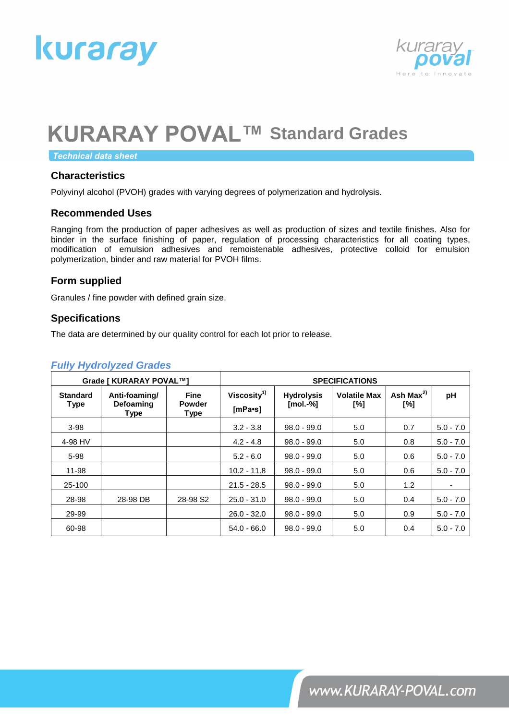



**Technical data sheet** 

### **Characteristics**

Polyvinyl alcohol (PVOH) grades with varying degrees of polymerization and hydrolysis.

#### **Recommended Uses**

Ranging from the production of paper adhesives as well as production of sizes and textile finishes. Also for binder in the surface finishing of paper, regulation of processing characteristics for all coating types, modification of emulsion adhesives and remoistenable adhesives, protective colloid for emulsion polymerization, binder and raw material for PVOH films.

### **Form supplied**

Granules / fine powder with defined grain size.

#### **Specifications**

The data are determined by our quality control for each lot prior to release.

|  | <b>Fully Hydrolyzed Grades</b> |
|--|--------------------------------|
|  |                                |

| Grade [ KURARAY POVAL™]        |                                           | <b>SPECIFICATIONS</b>                       |                                              |                                  |                            |                        |             |
|--------------------------------|-------------------------------------------|---------------------------------------------|----------------------------------------------|----------------------------------|----------------------------|------------------------|-------------|
| <b>Standard</b><br><b>Type</b> | Anti-foaming/<br><b>Defoaming</b><br>Type | <b>Fine</b><br><b>Powder</b><br><b>Type</b> | Viscosity <sup>1)</sup><br>$[mPa\text{-}sl]$ | <b>Hydrolysis</b><br>$[mol.-\%]$ | <b>Volatile Max</b><br>[%] | Ash Max $^{2)}$<br>[%] | рH          |
| $3-98$                         |                                           |                                             | $3.2 - 3.8$                                  | $98.0 - 99.0$                    | 5.0                        | 0.7                    | $5.0 - 7.0$ |
| 4-98 HV                        |                                           |                                             | $4.2 - 4.8$                                  | $98.0 - 99.0$                    | 5.0                        | 0.8                    | $5.0 - 7.0$ |
| $5 - 98$                       |                                           |                                             | $5.2 - 6.0$                                  | $98.0 - 99.0$                    | 5.0                        | 0.6                    | $5.0 - 7.0$ |
| 11-98                          |                                           |                                             | $10.2 - 11.8$                                | $98.0 - 99.0$                    | 5.0                        | 0.6                    | $5.0 - 7.0$ |
| 25-100                         |                                           |                                             | $21.5 - 28.5$                                | $98.0 - 99.0$                    | 5.0                        | 1.2                    |             |
| 28-98                          | 28-98 DB                                  | 28-98 S <sub>2</sub>                        | $25.0 - 31.0$                                | $98.0 - 99.0$                    | 5.0                        | 0.4                    | $5.0 - 7.0$ |
| 29-99                          |                                           |                                             | $26.0 - 32.0$                                | $98.0 - 99.0$                    | 5.0                        | 0.9                    | $5.0 - 7.0$ |
| 60-98                          |                                           |                                             | $54.0 - 66.0$                                | $98.0 - 99.0$                    | 5.0                        | 0.4                    | $5.0 - 7.0$ |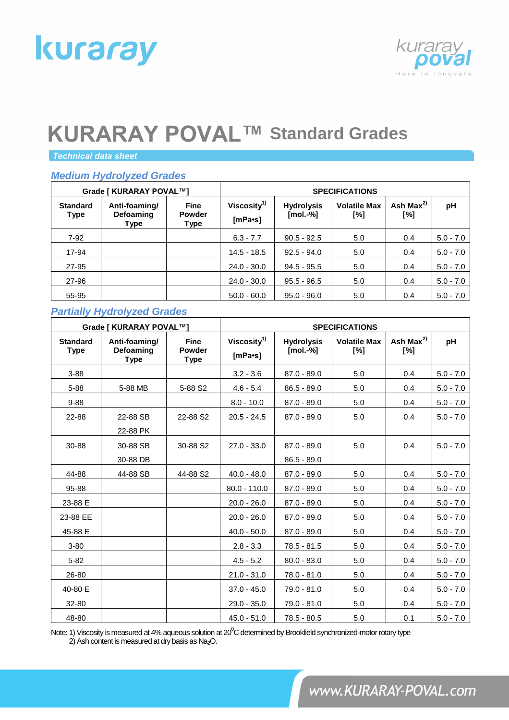# kuraray



# **KURARAY POVAL™ Standard Grades**

**Technical data sheet** 

# *Medium Hydrolyzed Grades*

| Grade [ KURARAY POVAL™]        |                                           | <b>SPECIFICATIONS</b>                |                                              |                                  |                            |                   |             |
|--------------------------------|-------------------------------------------|--------------------------------------|----------------------------------------------|----------------------------------|----------------------------|-------------------|-------------|
| <b>Standard</b><br><b>Type</b> | Anti-foaming/<br><b>Defoaming</b><br>Type | <b>Fine</b><br><b>Powder</b><br>Type | Viscosity <sup>1)</sup><br>$[mPa\text{-}sl]$ | <b>Hydrolysis</b><br>$[mol.-\%]$ | <b>Volatile Max</b><br>[%] | Ash $Max2$<br>[%] | pH          |
| $7-92$                         |                                           |                                      | $6.3 - 7.7$                                  | $90.5 - 92.5$                    | 5.0                        | 0.4               | $5.0 - 7.0$ |
| 17-94                          |                                           |                                      | $14.5 - 18.5$                                | $92.5 - 94.0$                    | 5.0                        | 0.4               | $5.0 - 7.0$ |
| 27-95                          |                                           |                                      | $24.0 - 30.0$                                | $94.5 - 95.5$                    | 5.0                        | 0.4               | $5.0 - 7.0$ |
| 27-96                          |                                           |                                      | $24.0 - 30.0$                                | $95.5 - 96.5$                    | 5.0                        | 0.4               | $5.0 - 7.0$ |
| 55-95                          |                                           |                                      | $50.0 - 60.0$                                | $95.0 - 96.0$                    | 5.0                        | 0.4               | $5.0 - 7.0$ |

# *Partially Hydrolyzed Grades*

| Grade [ KURARAY POVAL™]        |                                           | <b>SPECIFICATIONS</b>         |                                      |                                 |                            |                        |             |
|--------------------------------|-------------------------------------------|-------------------------------|--------------------------------------|---------------------------------|----------------------------|------------------------|-------------|
| <b>Standard</b><br><b>Type</b> | Anti-foaming/<br>Defoaming<br><b>Type</b> | <b>Fine</b><br>Powder<br>Type | Viscosity <sup>1)</sup><br>$[mPa-s]$ | <b>Hydrolysis</b><br>$[mol.-%]$ | <b>Volatile Max</b><br>[%] | Ash Max $^{2)}$<br>[%] | pH          |
| $3 - 88$                       |                                           |                               | $3.2 - 3.6$                          | $87.0 - 89.0$                   | 5.0                        | 0.4                    | $5.0 - 7.0$ |
| $5 - 88$                       | 5-88 MB                                   | 5-88 S2                       | $4.6 - 5.4$                          | $86.5 - 89.0$                   | 5.0                        | 0.4                    | $5.0 - 7.0$ |
| $9 - 88$                       |                                           |                               | $8.0 - 10.0$                         | $87.0 - 89.0$                   | 5.0                        | 0.4                    | $5.0 - 7.0$ |
| 22-88                          | 22-88 SB<br>22-88 PK                      | 22-88 S2                      | $20.5 - 24.5$                        | $87.0 - 89.0$                   | 5.0                        | 0.4                    | $5.0 - 7.0$ |
| 30-88                          | 30-88 SB<br>30-88 DB                      | 30-88 S2                      | $27.0 - 33.0$                        | $87.0 - 89.0$<br>$86.5 - 89.0$  | 5.0                        | 0.4                    | $5.0 - 7.0$ |
| 44-88                          | 44-88 SB                                  | 44-88 S2                      | $40.0 - 48.0$                        | $87.0 - 89.0$                   | 5.0                        | 0.4                    | $5.0 - 7.0$ |
| 95-88                          |                                           |                               | $80.0 - 110.0$                       | $87.0 - 89.0$                   | 5.0                        | 0.4                    | $5.0 - 7.0$ |
| 23-88 E                        |                                           |                               | $20.0 - 26.0$                        | $87.0 - 89.0$                   | 5.0                        | 0.4                    | $5.0 - 7.0$ |
| 23-88 EE                       |                                           |                               | $20.0 - 26.0$                        | $87.0 - 89.0$                   | 5.0                        | 0.4                    | $5.0 - 7.0$ |
| 45-88 E                        |                                           |                               | $40.0 - 50.0$                        | $87.0 - 89.0$                   | 5.0                        | 0.4                    | $5.0 - 7.0$ |
| $3 - 80$                       |                                           |                               | $2.8 - 3.3$                          | $78.5 - 81.5$                   | 5.0                        | 0.4                    | $5.0 - 7.0$ |
| $5 - 82$                       |                                           |                               | $4.5 - 5.2$                          | $80.0 - 83.0$                   | 5.0                        | 0.4                    | $5.0 - 7.0$ |
| 26-80                          |                                           |                               | $21.0 - 31.0$                        | 78.0 - 81.0                     | 5.0                        | 0.4                    | $5.0 - 7.0$ |
| 40-80 E                        |                                           |                               | $37.0 - 45.0$                        | 79.0 - 81.0                     | 5.0                        | 0.4                    | $5.0 - 7.0$ |
| 32-80                          |                                           |                               | $29.0 - 35.0$                        | 79.0 - 81.0                     | 5.0                        | 0.4                    | $5.0 - 7.0$ |
| 48-80                          |                                           |                               | $45.0 - 51.0$                        | $78.5 - 80.5$                   | 5.0                        | 0.1                    | $5.0 - 7.0$ |

Note: 1) Viscosity is measured at 4% aqueous solution at  $20^0C$  determined by Brookfield synchronized-motor rotary type 2) Ash content is measured at dry basis as Na2O.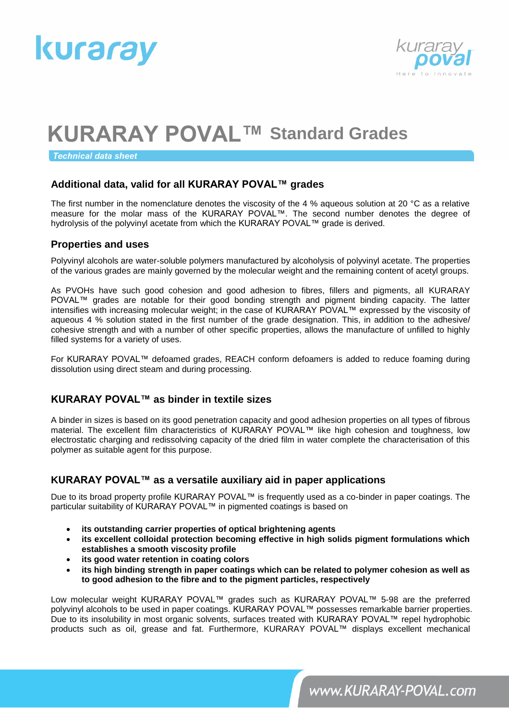



**Technical data sheet** 

# **Additional data, valid for all KURARAY POVAL™ grades**

The first number in the nomenclature denotes the viscosity of the 4 % aqueous solution at 20 °C as a relative measure for the molar mass of the KURARAY POVAL™. The second number denotes the degree of hydrolysis of the polyvinyl acetate from which the KURARAY POVAL™ grade is derived.

#### **Properties and uses**

Polyvinyl alcohols are water-soluble polymers manufactured by alcoholysis of polyvinyl acetate. The properties of the various grades are mainly governed by the molecular weight and the remaining content of acetyl groups.

As PVOHs have such good cohesion and good adhesion to fibres, fillers and pigments, all KURARAY POVAL™ grades are notable for their good bonding strength and pigment binding capacity. The latter intensifies with increasing molecular weight; in the case of KURARAY POVAL™ expressed by the viscosity of aqueous 4 % solution stated in the first number of the grade designation. This, in addition to the adhesive/ cohesive strength and with a number of other specific properties, allows the manufacture of unfilled to highly filled systems for a variety of uses.

For KURARAY POVAL™ defoamed grades, REACH conform defoamers is added to reduce foaming during dissolution using direct steam and during processing.

### **KURARAY POVAL™ as binder in textile sizes**

A binder in sizes is based on its good penetration capacity and good adhesion properties on all types of fibrous material. The excellent film characteristics of KURARAY POVAL™ like high cohesion and toughness, low electrostatic charging and redissolving capacity of the dried film in water complete the characterisation of this polymer as suitable agent for this purpose.

### **KURARAY POVAL™ as a versatile auxiliary aid in paper applications**

Due to its broad property profile KURARAY POVAL™ is frequently used as a co-binder in paper coatings. The particular suitability of KURARAY POVAL™ in pigmented coatings is based on

- **its outstanding carrier properties of optical brightening agents**
- **its excellent colloidal protection becoming effective in high solids pigment formulations which establishes a smooth viscosity profile**
- **its good water retention in coating colors**
- **its high binding strength in paper coatings which can be related to polymer cohesion as well as to good adhesion to the fibre and to the pigment particles, respectively**

Low molecular weight KURARAY POVAL™ grades such as KURARAY POVAL™ 5-98 are the preferred polyvinyl alcohols to be used in paper coatings. KURARAY POVAL™ possesses remarkable barrier properties. Due to its insolubility in most organic solvents, surfaces treated with KURARAY POVAL™ repel hydrophobic products such as oil, grease and fat. Furthermore, KURARAY POVAL™ displays excellent mechanical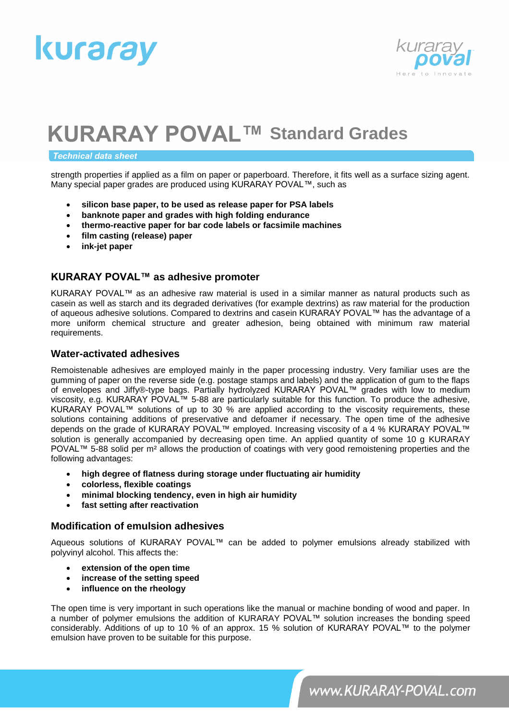



#### **Technical data sheet**

strength properties if applied as a film on paper or paperboard. Therefore, it fits well as a surface sizing agent. Many special paper grades are produced using KURARAY POVAL™, such as

- **silicon base paper, to be used as release paper for PSA labels**
- **banknote paper and grades with high folding endurance**
- **thermo-reactive paper for bar code labels or facsimile machines**
- **film casting (release) paper**
- **ink-jet paper**

### **KURARAY POVAL™ as adhesive promoter**

KURARAY POVAL™ as an adhesive raw material is used in a similar manner as natural products such as casein as well as starch and its degraded derivatives (for example dextrins) as raw material for the production of aqueous adhesive solutions. Compared to dextrins and casein KURARAY POVAL™ has the advantage of a more uniform chemical structure and greater adhesion, being obtained with minimum raw material requirements.

#### **Water-activated adhesives**

Remoistenable adhesives are employed mainly in the paper processing industry. Very familiar uses are the gumming of paper on the reverse side (e.g. postage stamps and labels) and the application of gum to the flaps of envelopes and Jiffy®-type bags. Partially hydrolyzed KURARAY POVAL™ grades with low to medium viscosity, e.g. KURARAY POVAL™ 5-88 are particularly suitable for this function. To produce the adhesive, KURARAY POVAL™ solutions of up to 30 % are applied according to the viscosity requirements, these solutions containing additions of preservative and defoamer if necessary. The open time of the adhesive depends on the grade of KURARAY POVAL™ employed. Increasing viscosity of a 4 % KURARAY POVAL™ solution is generally accompanied by decreasing open time. An applied quantity of some 10 g KURARAY POVAL™ 5-88 solid per m<sup>2</sup> allows the production of coatings with very good remoistening properties and the following advantages:

- **high degree of flatness during storage under fluctuating air humidity**
- **colorless, flexible coatings**
- **minimal blocking tendency, even in high air humidity**
- **fast setting after reactivation**

#### **Modification of emulsion adhesives**

Aqueous solutions of KURARAY POVAL™ can be added to polymer emulsions already stabilized with polyvinyl alcohol. This affects the:

- **extension of the open time**
- **increase of the setting speed**
- **influence on the rheology**

The open time is very important in such operations like the manual or machine bonding of wood and paper. In a number of polymer emulsions the addition of KURARAY POVAL™ solution increases the bonding speed considerably. Additions of up to 10 % of an approx. 15 % solution of KURARAY POVAL™ to the polymer emulsion have proven to be suitable for this purpose.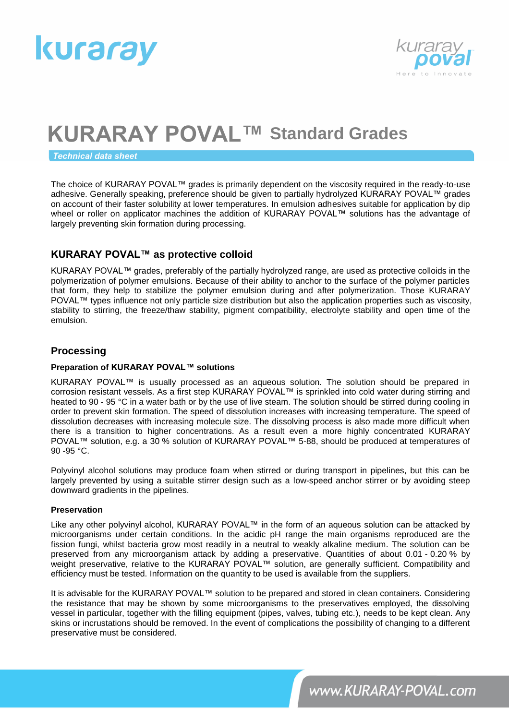



**Technical data sheet** 

The choice of KURARAY POVAL™ grades is primarily dependent on the viscosity required in the ready-to-use adhesive. Generally speaking, preference should be given to partially hydrolyzed KURARAY POVAL™ grades on account of their faster solubility at lower temperatures. In emulsion adhesives suitable for application by dip wheel or roller on applicator machines the addition of KURARAY POVAL™ solutions has the advantage of largely preventing skin formation during processing.

# **KURARAY POVAL™ as protective colloid**

KURARAY POVAL™ grades, preferably of the partially hydrolyzed range, are used as protective colloids in the polymerization of polymer emulsions. Because of their ability to anchor to the surface of the polymer particles that form, they help to stabilize the polymer emulsion during and after polymerization. Those KURARAY POVAL™ types influence not only particle size distribution but also the application properties such as viscosity, stability to stirring, the freeze/thaw stability, pigment compatibility, electrolyte stability and open time of the emulsion.

### **Processing**

#### **Preparation of KURARAY POVAL™ solutions**

KURARAY POVAL™ is usually processed as an aqueous solution. The solution should be prepared in corrosion resistant vessels. As a first step KURARAY POVAL™ is sprinkled into cold water during stirring and heated to 90 - 95 °C in a water bath or by the use of live steam. The solution should be stirred during cooling in order to prevent skin formation. The speed of dissolution increases with increasing temperature. The speed of dissolution decreases with increasing molecule size. The dissolving process is also made more difficult when there is a transition to higher concentrations. As a result even a more highly concentrated KURARAY POVAL™ solution, e.g. a 30 % solution of KURARAY POVAL™ 5-88, should be produced at temperatures of 90 -95 °C.

Polyvinyl alcohol solutions may produce foam when stirred or during transport in pipelines, but this can be largely prevented by using a suitable stirrer design such as a low-speed anchor stirrer or by avoiding steep downward gradients in the pipelines.

#### **Preservation**

Like any other polyvinyl alcohol, KURARAY POVAL™ in the form of an aqueous solution can be attacked by microorganisms under certain conditions. In the acidic pH range the main organisms reproduced are the fission fungi, whilst bacteria grow most readily in a neutral to weakly alkaline medium. The solution can be preserved from any microorganism attack by adding a preservative. Quantities of about 0.01 - 0.20 % by weight preservative, relative to the KURARAY POVAL™ solution, are generally sufficient. Compatibility and efficiency must be tested. Information on the quantity to be used is available from the suppliers.

It is advisable for the KURARAY POVAL™ solution to be prepared and stored in clean containers. Considering the resistance that may be shown by some microorganisms to the preservatives employed, the dissolving vessel in particular, together with the filling equipment (pipes, valves, tubing etc.), needs to be kept clean. Any skins or incrustations should be removed. In the event of complications the possibility of changing to a different preservative must be considered.